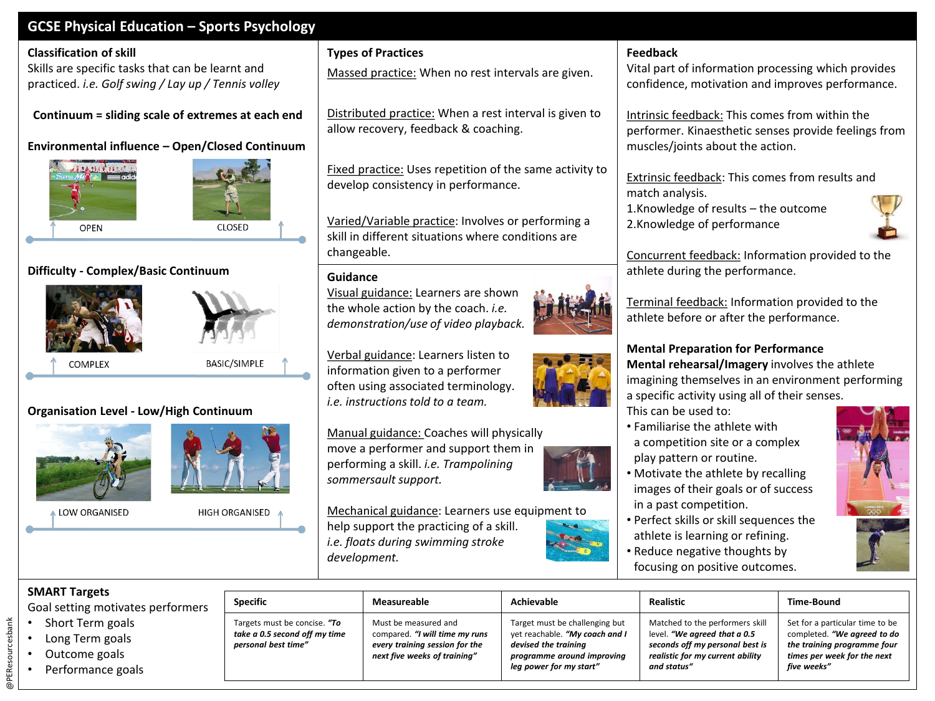# **GCSE Physical Education – Sports Psychology**

#### **Classification of skill**

Skills are specific tasks that can be learnt and practiced. *i.e. Golf swing / Lay up / Tennis volley*

**Continuum = sliding scale of extremes at each end**

# **Environmental influence – Open/Closed Continuum**





## **Difficulty - Complex/Basic Continuum**





**COMPLEX** 

BASIC/SIMPLE

## **Organisation Level - Low/High Continuum**



LOW ORGANISED



Targets must be concise. *"To take a 0.5 second off my time personal best time"*

HIGH ORGANISED



Massed practice: When no rest intervals are given.

Distributed practice: When a rest interval is given to allow recovery, feedback & coaching.

Fixed practice: Uses repetition of the same activity to develop consistency in performance.

Varied/Variable practice: Involves or performing a skill in different situations where conditions are changeable.

### **Guidance**

Visual guidance: Learners are shown the whole action by the coach. *i.e. demonstration/use of video playback.*

Verbal guidance: Learners listen to information given to a performer often using associated terminology. *i.e. instructions told to a team.*

Manual guidance: Coaches will physically move a performer and support them in performing a skill. *i.e. Trampolining sommersault support.* 

Mechanical guidance: Learners use equipment to help support the practicing of a skill. *i.e. floats during swimming stroke development.*

> Must be measured and compared. *"I will time my runs every training session for the next five weeks of training"*

### **Feedback**

Vital part of information processing which provides confidence, motivation and improves performance.

Intrinsic feedback: This comes from within the performer. Kinaesthetic senses provide feelings from muscles/joints about the action.

Extrinsic feedback: This comes from results and match analysis.

1.Knowledge of results – the outcome 2.Knowledge of performance



Concurrent feedback: Information provided to the athlete during the performance.

Terminal feedback: Information provided to the athlete before or after the performance.

### **Mental Preparation for Performance**

**Mental rehearsal/Imagery** involves the athlete imagining themselves in an environment performing a specific activity using all of their senses.

This can be used to:

- Familiarise the athlete with a competition site or a complex play pattern or routine.
- Motivate the athlete by recalling images of their goals or of success in a past competition.
- Perfect skills or skill sequences the athlete is learning or refining.
- Reduce negative thoughts by focusing on positive outcomes.



#### **SMART Targets**

Goal setting motivates performers

- Short Term goals
- Long Term goals
- Outcome goals

@PEResourcesbank

@PEResourcesbank

• Performance goals









Target must be challenging but yet reachable. *"My coach and I devised the training programme around improving leg power for my start"*

Matched to the performers skill level. *"We agreed that a 0.5 seconds off my personal best is realistic for my current ability and status"*

Set for a particular time to be completed. *"We agreed to do the training programme four times per week for the next five weeks"*